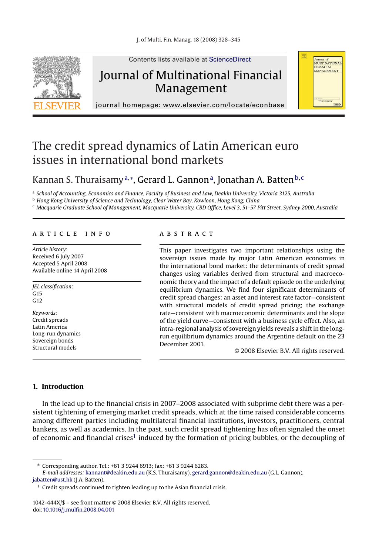

Contents lists available at [ScienceDirect](http://www.sciencedirect.com/science/journal/1042444X)

## Journal of Multinational Financial Management



journal homepage: www.elsevier.com/locate/econbase

## The credit spread dynamics of Latin American euro issues in international bond markets

### Kannan S. Thuraisamyª,\*, Gerard L. Gannonª, Jonathan A. Batten<sup>b,c</sup>

<sup>a</sup> *School of Accounting, Economics and Finance, Faculty of Business and Law, Deakin University, Victoria 3125, Australia*

<sup>b</sup> *Hong Kong University of Science and Technology, Clear Water Bay, Kowloon, Hong Kong, China*

<sup>c</sup> *Macquarie Graduate School of Management, Macquarie University, CBD Office, Level 3, 51-57 Pitt Street, Sydney 2000, Australia*

#### article info

*Article history:* Received 6 July 2007 Accepted 5 April 2008 Available online 14 April 2008

*JEL classification:*  $C<sub>15</sub>$  $G<sub>12</sub>$ 

*Keywords:* Credit spreads Latin America Long-run dynamics Sovereign bonds Structural models

#### **ABSTRACT**

This paper investigates two important relationships using the sovereign issues made by major Latin American economies in the international bond market: the determinants of credit spread changes using variables derived from structural and macroeconomic theory and the impact of a default episode on the underlying equilibrium dynamics. We find four significant determinants of credit spread changes: an asset and interest rate factor—consistent with structural models of credit spread pricing; the exchange rate—consistent with macroeconomic determinants and the slope of the yield curve—consistent with a business cycle effect. Also, an intra-regional analysis of sovereign yields reveals a shift in the longrun equilibrium dynamics around the Argentine default on the 23 December 2001.

© 2008 Elsevier B.V. All rights reserved.

#### **1. Introduction**

In the lead up to the financial crisis in 2007–2008 associated with subprime debt there was a persistent tightening of emerging market credit spreads, which at the time raised considerable concerns among different parties including multilateral financial institutions, investors, practitioners, central bankers, as well as academics. In the past, such credit spread tightening has often signaled the onset of economic and financial crises<sup>1</sup> induced by the formation of pricing bubbles, or the decoupling of

∗ Corresponding author. Tel.: +61 3 9244 6913; fax: +61 3 9244 6283.

*E-mail addresses:* [kannant@deakin.edu.au](mailto:kannant@deakin.edu.au) (K.S. Thuraisamy), [gerard.gannon@deakin.edu.au](mailto:gerard.gannon@deakin.edu.au) (G.L. Gannon), [jabatten@ust.hk](mailto:jabatten@ust.hk) (J.A. Batten).

1042-444X/\$ – see front matter © 2008 Elsevier B.V. All rights reserved. doi[:10.1016/j.mulfin.2008.04.001](dx.doi.org/10.1016/j.mulfin.2008.04.001)

<sup>&</sup>lt;sup>1</sup> Credit spreads continued to tighten leading up to the Asian financial crisis.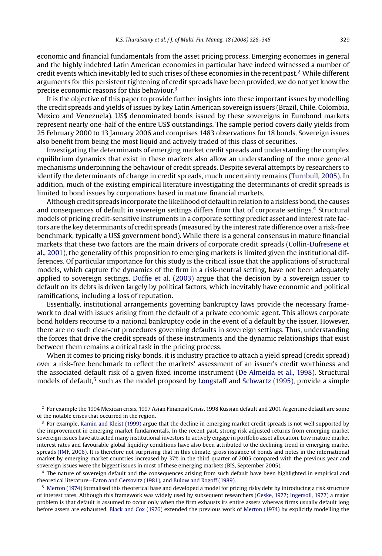economic and financial fundamentals from the asset pricing process. Emerging economies in general and the highly indebted Latin American economies in particular have indeed witnessed a number of credit events which inevitably led to such crises of these economies in the recent past.2 While different arguments for this persistent tightening of credit spreads have been provided, we do not yet know the precise economic reasons for this behaviour.3

It is the objective of this paper to provide further insights into these important issues by modelling the credit spreads and yields of issues by key Latin American sovereign issuers (Brazil, Chile, Colombia, Mexico and Venezuela). US\$ denominated bonds issued by these sovereigns in Eurobond markets represent nearly one-half of the entire US\$ outstandings. The sample period covers daily yields from 25 February 2000 to 13 January 2006 and comprises 1483 observations for 18 bonds. Sovereign issues also benefit from being the most liquid and actively traded of this class of securities.

Investigating the determinants of emerging market credit spreads and understanding the complex equilibrium dynamics that exist in these markets also allow an understanding of the more general mechanisms underpinning the behaviour of credit spreads. Despite several attempts by researchers to identify the determinants of change in credit spreads, much uncertainty remains [\(Turnbull, 2005\).](#page--1-0) In addition, much of the existing empirical literature investigating the determinants of credit spreads is limited to bond issues by corporations based in mature financial markets.

Although credit spreads incorporate the likelihood of default in relation to a riskless bond, the causes and consequences of default in sovereign settings differs from that of corporate settings.<sup>4</sup> Structural models of pricing credit-sensitive instruments in a corporate setting predict asset and interest rate factors are the key determinants of credit spreads (measured by the interest rate difference over a risk-free benchmark, typically a US\$ government bond). While there is a general consensus in mature financial markets that these two factors are the main drivers of corporate credit spreads ([Collin-Dufresene et](#page--1-0) [al., 2001\),](#page--1-0) the generality of this proposition to emerging markets is limited given the institutional differences. Of particular importance for this study is the critical issue that the applications of structural models, which capture the dynamics of the firm in a risk-neutral setting, have not been adequately applied to sovereign settings. [Duffie et al. \(2003\)](#page--1-0) argue that the decision by a sovereign issuer to default on its debts is driven largely by political factors, which inevitably have economic and political ramifications, including a loss of reputation.

Essentially, institutional arrangements governing bankruptcy laws provide the necessary framework to deal with issues arising from the default of a private economic agent. This allows corporate bond holders recourse to a national bankruptcy code in the event of a default by the issuer. However, there are no such clear-cut procedures governing defaults in sovereign settings. Thus, understanding the forces that drive the credit spreads of these instruments and the dynamic relationships that exist between them remains a critical task in the pricing process.

When it comes to pricing risky bonds, it is industry practice to attach a yield spread (credit spread) over a risk-free benchmark to reflect the markets' assessment of an issuer's credit worthiness and the associated default risk of a given fixed income instrument [\(De Almeida et al., 1998\).](#page--1-0) Structural models of default,<sup>5</sup> such as the model proposed by [Longstaff and Schwartz \(1995\), p](#page--1-0)rovide a simple

<sup>2</sup> For example the 1994 Mexican crisis, 1997 Asian Financial Crisis, 1998 Russian default and 2001 Argentine default are some of the notable crises that occurred in the region.

 $3$  For example, [Kamin and Kleist \(1999\)](#page--1-0) argue that the decline in emerging market credit spreads is not well supported by the improvement in emerging market fundamentals. In the recent past, strong risk adjusted returns from emerging market sovereign issues have attracted many institutional investors to actively engage in portfolio asset allocation. Low mature market interest rates and favourable global liquidity conditions have also been attributed to the declining trend in emerging market spreads [\(IMF, 2006\).](#page--1-0) It is therefore not surprising that in this climate, gross issuance of bonds and notes in the international market by emerging market countries increased by 37% in the third quarter of 2005 compared with the previous year and sovereign issues were the biggest issues in most of these emerging markets (BIS, September 2005).

<sup>4</sup> The nature of sovereign default and the consequences arising from such default have been highlighted in empirical and theoretical literature—[Eaton and Gersovitz \(1981\), a](#page--1-0)nd [Bulow and Rogoff \(1989\).](#page--1-0)

<sup>5</sup> [Merton \(1974\)](#page--1-0) formalised this theoretical base and developed a model for pricing risky debt by introducing a risk structure of interest rates. Although this framework was widely used by subsequent researchers ([Geske, 1977; Ingersoll, 1977\) a](#page--1-0) major problem is that default is assumed to occur only when the firm exhausts its entire assets whereas firms usually default long before assets are exhausted. [Black and Cox \(1976\)](#page--1-0) extended the previous work of [Merton \(1974\)](#page--1-0) by explicitly modelling the